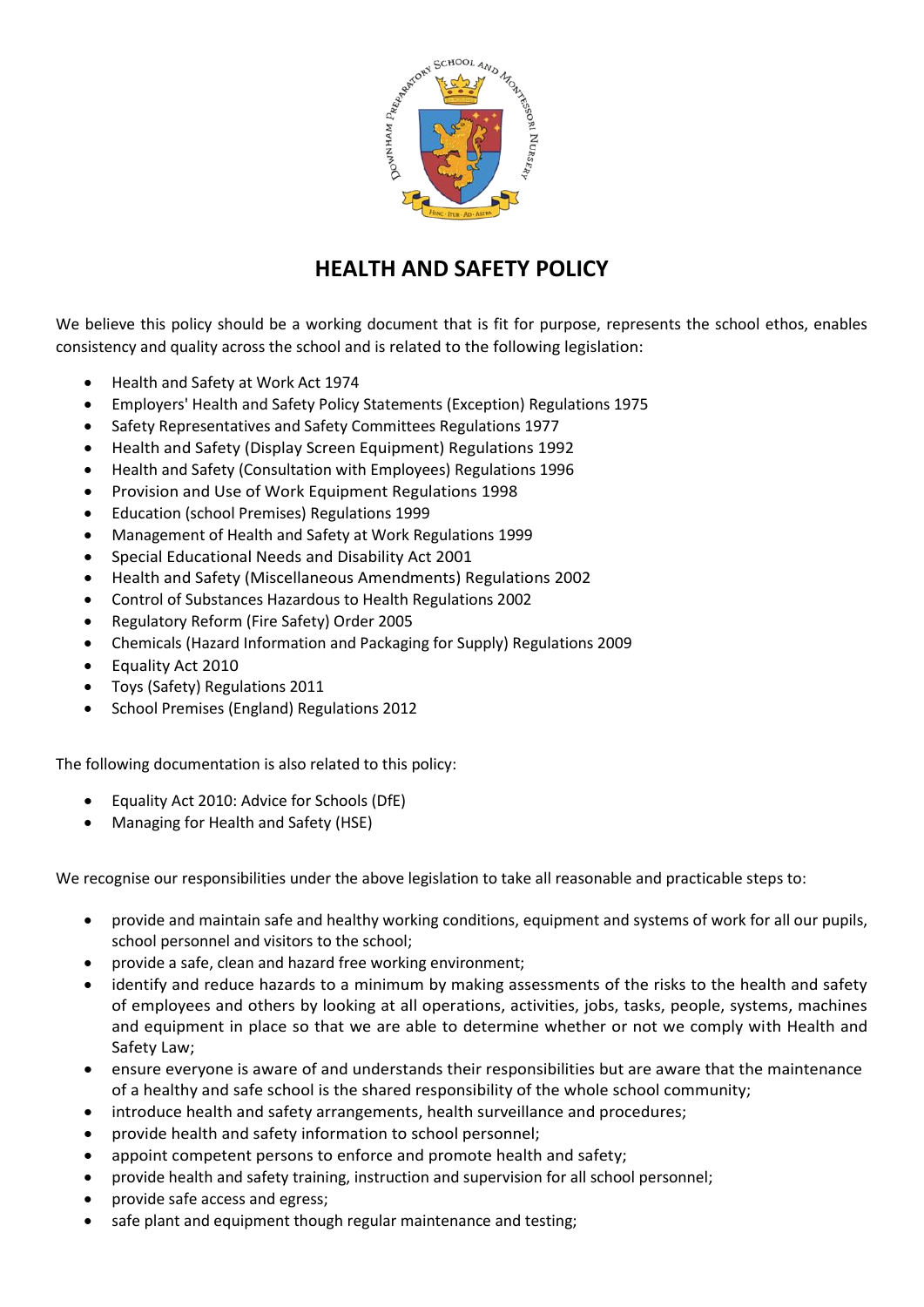

# **HEALTH AND SAFETY POLICY**

We believe this policy should be a working document that is fit for purpose, represents the school ethos, enables consistency and quality across the school and is related to the following legislation:

- Health and Safety at Work Act 1974
- Employers' Health and Safety Policy Statements (Exception) Regulations 1975
- Safety Representatives and Safety Committees Regulations 1977
- Health and Safety (Display Screen Equipment) Regulations 1992
- Health and Safety (Consultation with Employees) Regulations 1996
- Provision and Use of Work Equipment Regulations 1998
- Education (school Premises) Regulations 1999
- Management of Health and Safety at Work Regulations 1999
- Special Educational Needs and Disability Act 2001
- Health and Safety (Miscellaneous Amendments) Regulations 2002
- Control of Substances Hazardous to Health Regulations 2002
- Regulatory Reform (Fire Safety) Order 2005
- Chemicals (Hazard Information and Packaging for Supply) Regulations 2009
- Equality Act 2010
- Toys (Safety) Regulations 2011
- School Premises (England) Regulations 2012

The following documentation is also related to this policy:

- Equality Act 2010: Advice for Schools (DfE)
- Managing for Health and Safety (HSE)

We recognise our responsibilities under the above legislation to take all reasonable and practicable steps to:

- provide and maintain safe and healthy working conditions, equipment and systems of work for all our pupils, school personnel and visitors to the school;
- provide a safe, clean and hazard free working environment;
- identify and reduce hazards to a minimum by making assessments of the risks to the health and safety of employees and others by looking at all operations, activities, jobs, tasks, people, systems, machines and equipment in place so that we are able to determine whether or not we comply with Health and Safety Law;
- ensure everyone is aware of and understands their responsibilities but are aware that the maintenance of a healthy and safe school is the shared responsibility of the whole school community;
- introduce health and safety arrangements, health surveillance and procedures;
- provide health and safety information to school personnel;
- appoint competent persons to enforce and promote health and safety;
- provide health and safety training, instruction and supervision for all school personnel;
- provide safe access and egress;
- safe plant and equipment though regular maintenance and testing;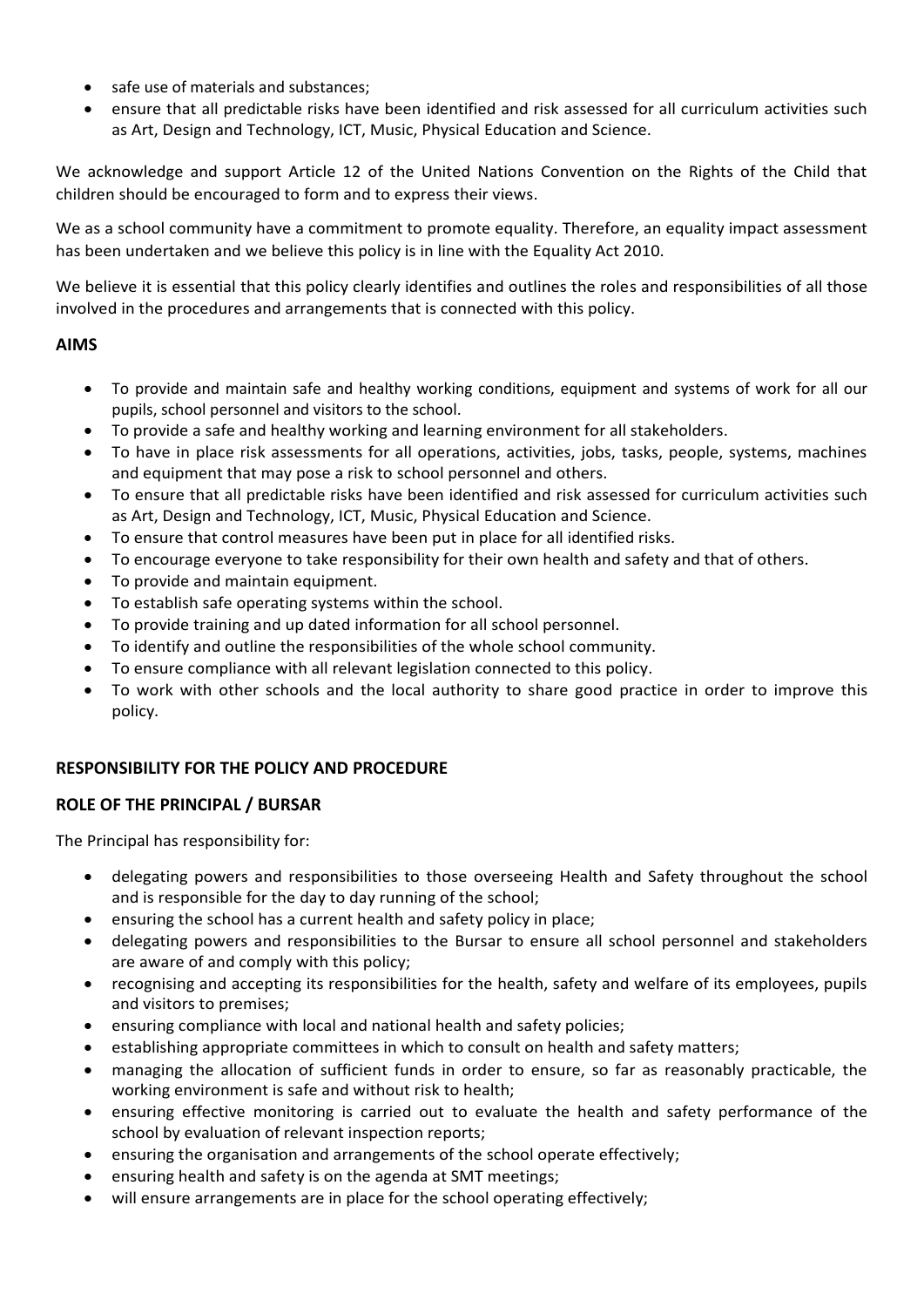- safe use of materials and substances;
- ensure that all predictable risks have been identified and risk assessed for all curriculum activities such as Art, Design and Technology, ICT, Music, Physical Education and Science.

We acknowledge and support Article 12 of the United Nations Convention on the Rights of the Child that children should be encouraged to form and to express their views.

We as a school community have a commitment to promote equality. Therefore, an equality impact assessment has been undertaken and we believe this policy is in line with the Equality Act 2010.

We believe it is essential that this policy clearly identifies and outlines the roles and responsibilities of all those involved in the procedures and arrangements that is connected with this policy.

# **AIMS**

- To provide and maintain safe and healthy working conditions, equipment and systems of work for all our pupils, school personnel and visitors to the school.
- To provide a safe and healthy working and learning environment for all stakeholders.
- To have in place risk assessments for all operations, activities, jobs, tasks, people, systems, machines and equipment that may pose a risk to school personnel and others.
- To ensure that all predictable risks have been identified and risk assessed for curriculum activities such as Art, Design and Technology, ICT, Music, Physical Education and Science.
- To ensure that control measures have been put in place for all identified risks.
- To encourage everyone to take responsibility for their own health and safety and that of others.
- To provide and maintain equipment.
- To establish safe operating systems within the school.
- To provide training and up dated information for all school personnel.
- To identify and outline the responsibilities of the whole school community.
- To ensure compliance with all relevant legislation connected to this policy.
- To work with other schools and the local authority to share good practice in order to improve this policy.

# **RESPONSIBILITY FOR THE POLICY AND PROCEDURE**

# **ROLE OF THE PRINCIPAL / BURSAR**

The Principal has responsibility for:

- delegating powers and responsibilities to those overseeing Health and Safety throughout the school and is responsible for the day to day running of the school;
- ensuring the school has a current health and safety policy in place;
- delegating powers and responsibilities to the Bursar to ensure all school personnel and stakeholders are aware of and comply with this policy;
- recognising and accepting its responsibilities for the health, safety and welfare of its employees, pupils and visitors to premises;
- ensuring compliance with local and national health and safety policies;
- establishing appropriate committees in which to consult on health and safety matters;
- managing the allocation of sufficient funds in order to ensure, so far as reasonably practicable, the working environment is safe and without risk to health;
- ensuring effective monitoring is carried out to evaluate the health and safety performance of the school by evaluation of relevant inspection reports;
- ensuring the organisation and arrangements of the school operate effectively;
- ensuring health and safety is on the agenda at SMT meetings;
- will ensure arrangements are in place for the school operating effectively;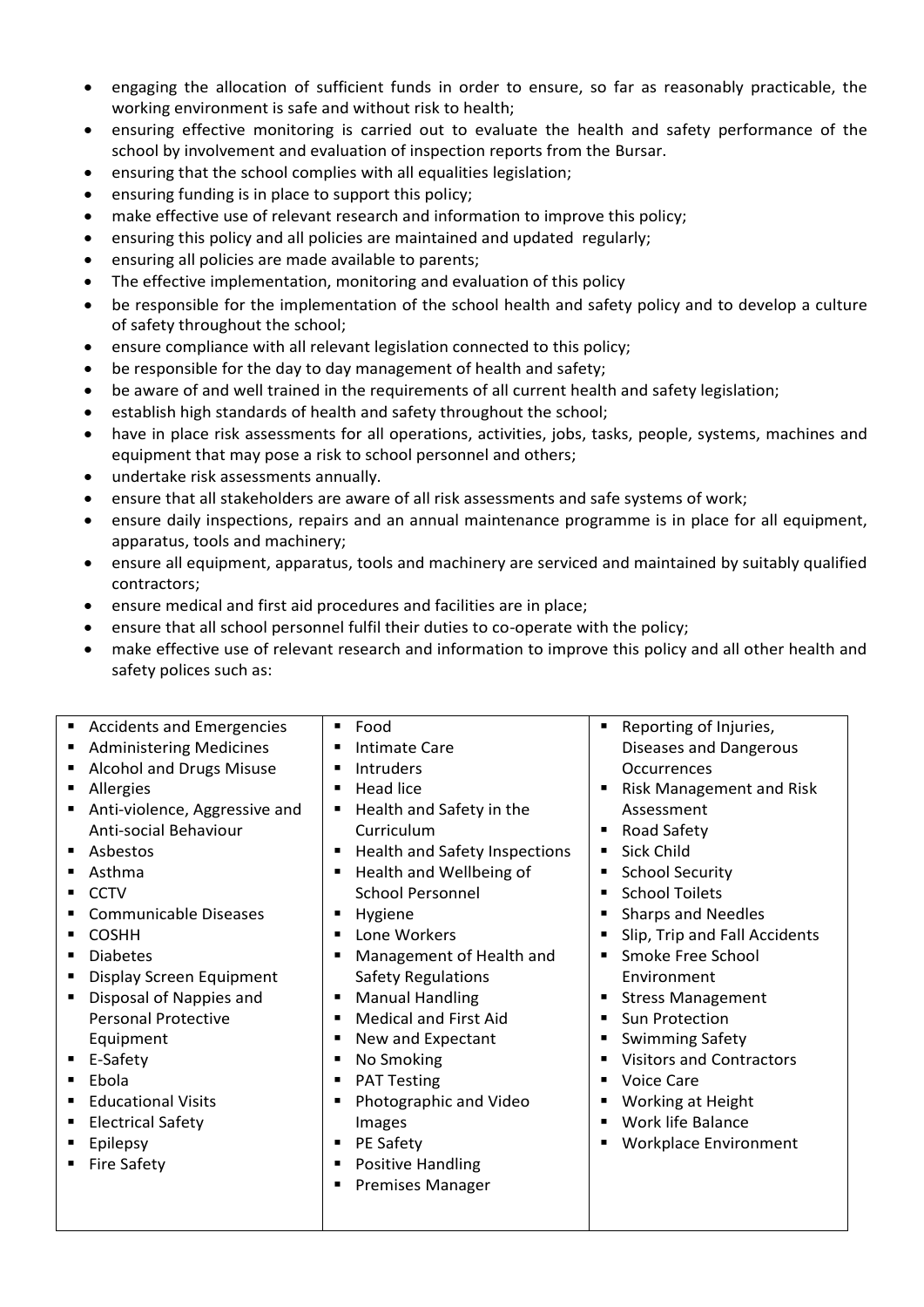- engaging the allocation of sufficient funds in order to ensure, so far as reasonably practicable, the working environment is safe and without risk to health;
- ensuring effective monitoring is carried out to evaluate the health and safety performance of the school by involvement and evaluation of inspection reports from the Bursar.
- ensuring that the school complies with all equalities legislation;
- ensuring funding is in place to support this policy;
- make effective use of relevant research and information to improve this policy;
- ensuring this policy and all policies are maintained and updated regularly;
- ensuring all policies are made available to parents;
- The effective implementation, monitoring and evaluation of this policy
- be responsible for the implementation of the school health and safety policy and to develop a culture of safety throughout the school;
- ensure compliance with all relevant legislation connected to this policy;
- be responsible for the day to day management of health and safety;
- be aware of and well trained in the requirements of all current health and safety legislation;
- **•** establish high standards of health and safety throughout the school;
- have in place risk assessments for all operations, activities, jobs, tasks, people, systems, machines and equipment that may pose a risk to school personnel and others;
- undertake risk assessments annually.
- ensure that all stakeholders are aware of all risk assessments and safe systems of work;
- ensure daily inspections, repairs and an annual maintenance programme is in place for all equipment, apparatus, tools and machinery;
- ensure all equipment, apparatus, tools and machinery are serviced and maintained by suitably qualified contractors;
- ensure medical and first aid procedures and facilities are in place;
- ensure that all school personnel fulfil their duties to co-operate with the policy;
- make effective use of relevant research and information to improve this policy and all other health and safety polices such as:

| <b>Accidents and Emergencies</b><br>٠<br><b>Administering Medicines</b><br>Alcohol and Drugs Misuse<br>Allergies<br>Anti-violence, Aggressive and<br>Anti-social Behaviour<br>Asbestos<br>Asthma<br><b>CCTV</b><br><b>Communicable Diseases</b><br><b>COSHH</b><br><b>Diabetes</b><br>Display Screen Equipment<br>Disposal of Nappies and<br><b>Personal Protective</b><br>Equipment<br>E-Safety<br>Ebola<br><b>Educational Visits</b><br><b>Electrical Safety</b> | Food<br>٠<br>Intimate Care<br>п<br><b>Intruders</b><br>п<br><b>Head lice</b><br>п<br>Health and Safety in the<br>п<br>Curriculum<br>Health and Safety Inspections<br>п<br>Health and Wellbeing of<br>п<br><b>School Personnel</b><br>Hygiene<br>п<br>Lone Workers<br>п<br>Management of Health and<br>$\blacksquare$<br><b>Safety Regulations</b><br><b>Manual Handling</b><br>п<br><b>Medical and First Aid</b><br>п<br>New and Expectant<br>п<br>No Smoking<br>٠<br><b>PAT Testing</b><br>п<br>Photographic and Video<br>п<br>Images | Reporting of Injuries,<br>п<br>Diseases and Dangerous<br><b>Occurrences</b><br><b>Risk Management and Risk</b><br>Assessment<br><b>Road Safety</b><br>Sick Child<br>٠<br><b>School Security</b><br><b>School Toilets</b><br><b>Sharps and Needles</b><br>Slip, Trip and Fall Accidents<br>Smoke Free School<br>Environment<br><b>Stress Management</b><br>Sun Protection<br>$\blacksquare$<br><b>Swimming Safety</b><br><b>Visitors and Contractors</b><br><b>Voice Care</b><br>٠<br>Working at Height<br>Work life Balance<br>٠ |
|--------------------------------------------------------------------------------------------------------------------------------------------------------------------------------------------------------------------------------------------------------------------------------------------------------------------------------------------------------------------------------------------------------------------------------------------------------------------|----------------------------------------------------------------------------------------------------------------------------------------------------------------------------------------------------------------------------------------------------------------------------------------------------------------------------------------------------------------------------------------------------------------------------------------------------------------------------------------------------------------------------------------|----------------------------------------------------------------------------------------------------------------------------------------------------------------------------------------------------------------------------------------------------------------------------------------------------------------------------------------------------------------------------------------------------------------------------------------------------------------------------------------------------------------------------------|
| Epilepsy<br><b>Fire Safety</b>                                                                                                                                                                                                                                                                                                                                                                                                                                     | PE Safety<br>п<br><b>Positive Handling</b><br>٠<br><b>Premises Manager</b><br>п                                                                                                                                                                                                                                                                                                                                                                                                                                                        | Workplace Environment                                                                                                                                                                                                                                                                                                                                                                                                                                                                                                            |
|                                                                                                                                                                                                                                                                                                                                                                                                                                                                    |                                                                                                                                                                                                                                                                                                                                                                                                                                                                                                                                        |                                                                                                                                                                                                                                                                                                                                                                                                                                                                                                                                  |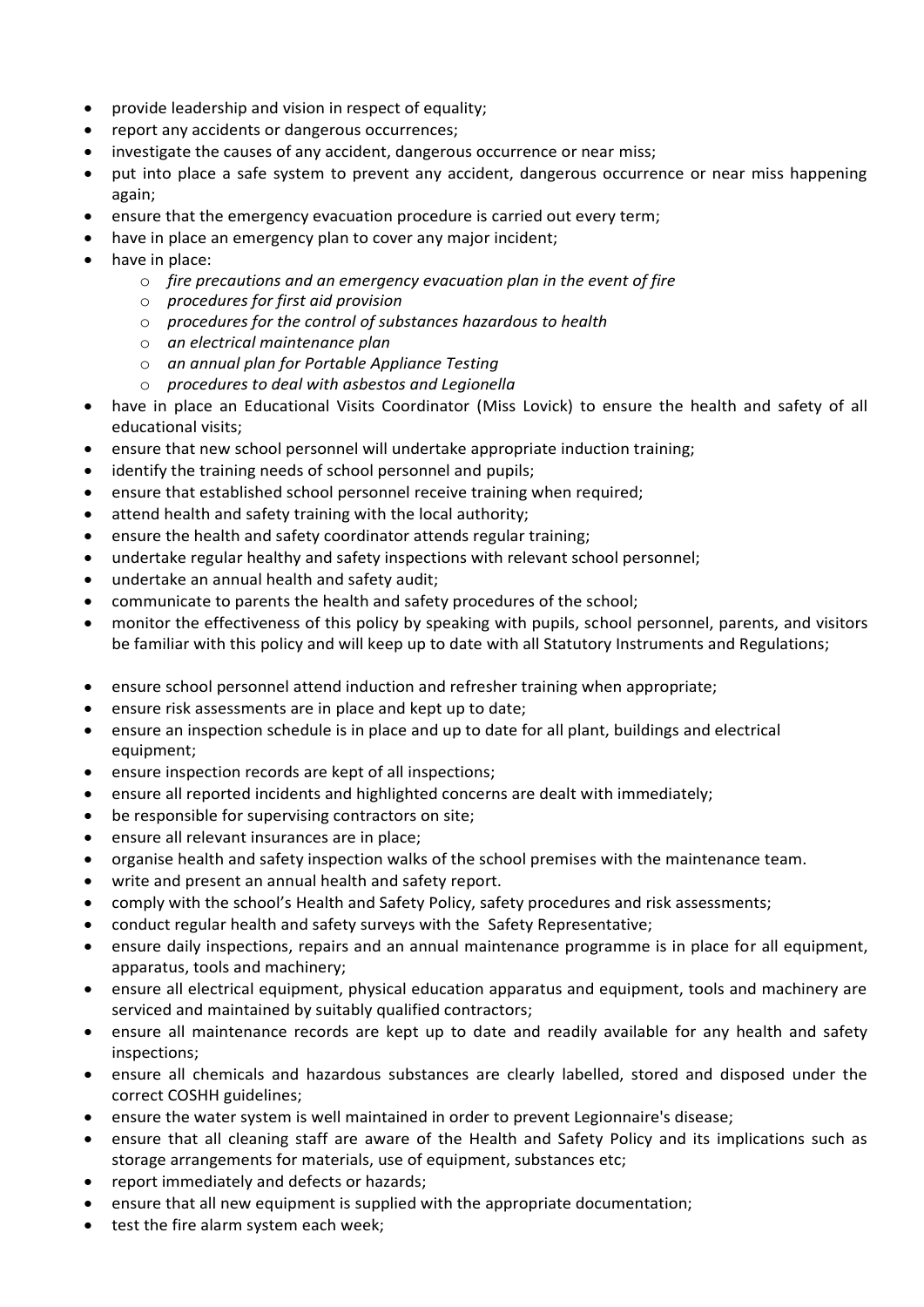- provide leadership and vision in respect of equality;
- report any accidents or dangerous occurrences;
- investigate the causes of any accident, dangerous occurrence or near miss;
- put into place a safe system to prevent any accident, dangerous occurrence or near miss happening again;
- ensure that the emergency evacuation procedure is carried out every term;
- have in place an emergency plan to cover any major incident;
- have in place:
	- o *fire precautions and an emergency evacuation plan in the event of fire*
	- o *procedures for first aid provision*
	- o *procedures for the control of substances hazardous to health*
	- o *an electrical maintenance plan*
	- o *an annual plan for Portable Appliance Testing*
	- o *procedures to deal with asbestos and Legionella*
- have in place an Educational Visits Coordinator (Miss Lovick) to ensure the health and safety of all educational visits;
- ensure that new school personnel will undertake appropriate induction training;
- identify the training needs of school personnel and pupils;
- ensure that established school personnel receive training when required;
- attend health and safety training with the local authority;
- ensure the health and safety coordinator attends regular training;
- undertake regular healthy and safety inspections with relevant school personnel;
- undertake an annual health and safety audit;
- communicate to parents the health and safety procedures of the school;
- monitor the effectiveness of this policy by speaking with pupils, school personnel, parents, and visitors be familiar with this policy and will keep up to date with all Statutory Instruments and Regulations;
- ensure school personnel attend induction and refresher training when appropriate;
- ensure risk assessments are in place and kept up to date;
- ensure an inspection schedule is in place and up to date for all plant, buildings and electrical equipment;
- ensure inspection records are kept of all inspections;
- ensure all reported incidents and highlighted concerns are dealt with immediately;
- be responsible for supervising contractors on site;
- ensure all relevant insurances are in place;
- organise health and safety inspection walks of the school premises with the maintenance team.
- write and present an annual health and safety report.
- comply with the school's Health and Safety Policy, safety procedures and risk assessments;
- conduct regular health and safety surveys with the Safety Representative;
- ensure daily inspections, repairs and an annual maintenance programme is in place for all equipment, apparatus, tools and machinery;
- ensure all electrical equipment, physical education apparatus and equipment, tools and machinery are serviced and maintained by suitably qualified contractors;
- ensure all maintenance records are kept up to date and readily available for any health and safety inspections;
- ensure all chemicals and hazardous substances are clearly labelled, stored and disposed under the correct COSHH guidelines;
- ensure the water system is well maintained in order to prevent Legionnaire's disease;
- ensure that all cleaning staff are aware of the Health and Safety Policy and its implications such as storage arrangements for materials, use of equipment, substances etc;
- report immediately and defects or hazards;
- ensure that all new equipment is supplied with the appropriate documentation;
- test the fire alarm system each week;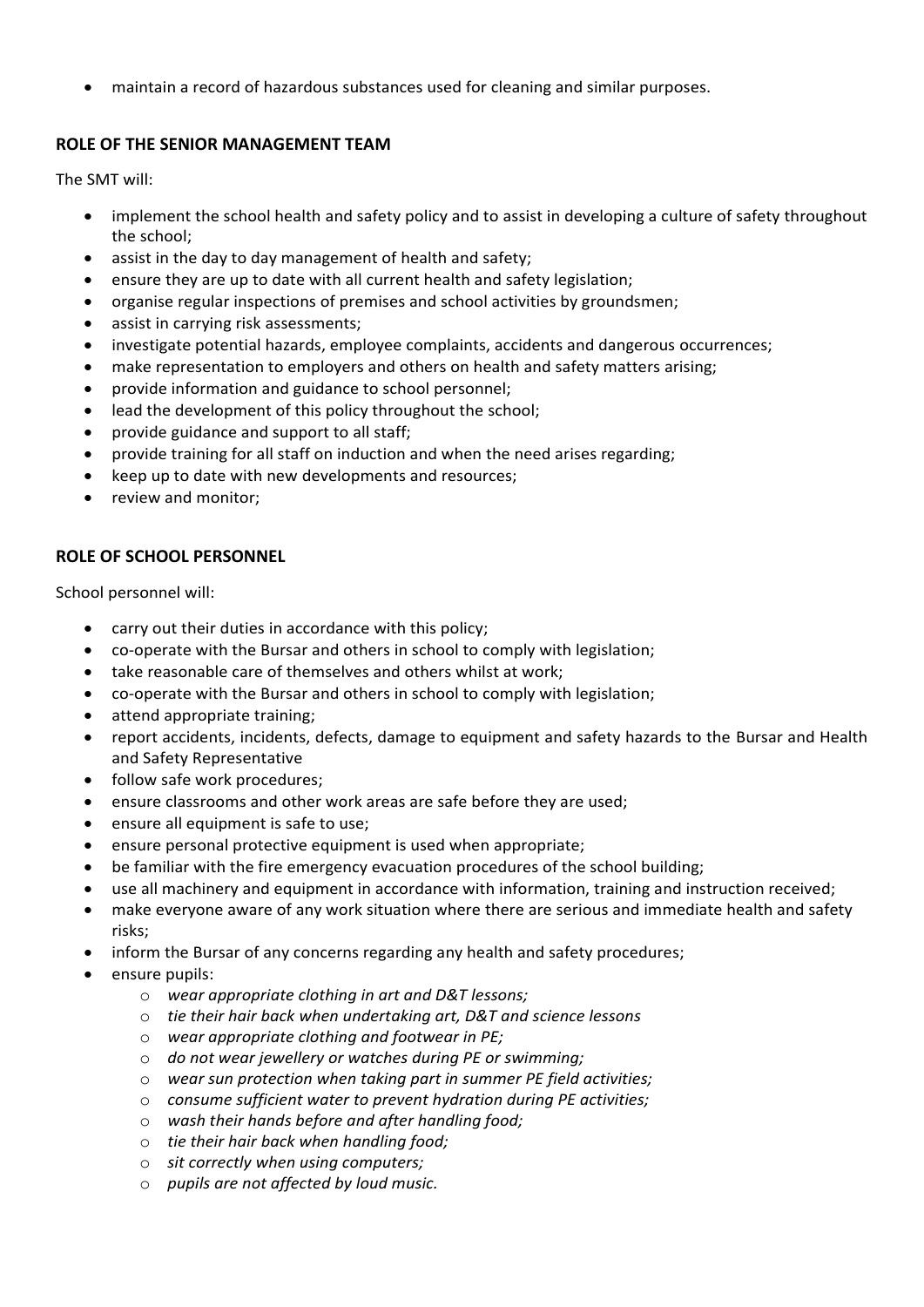maintain a record of hazardous substances used for cleaning and similar purposes.

## **ROLE OF THE SENIOR MANAGEMENT TEAM**

The SMT will:

- implement the school health and safety policy and to assist in developing a culture of safety throughout the school;
- assist in the day to day management of health and safety;
- ensure they are up to date with all current health and safety legislation;
- organise regular inspections of premises and school activities by groundsmen;
- assist in carrying risk assessments;
- investigate potential hazards, employee complaints, accidents and dangerous occurrences;
- make representation to employers and others on health and safety matters arising;
- provide information and guidance to school personnel;
- lead the development of this policy throughout the school;
- provide guidance and support to all staff;
- provide training for all staff on induction and when the need arises regarding;
- keep up to date with new developments and resources;
- review and monitor:

## **ROLE OF SCHOOL PERSONNEL**

School personnel will:

- carry out their duties in accordance with this policy;
- co-operate with the Bursar and others in school to comply with legislation;
- take reasonable care of themselves and others whilst at work;
- co-operate with the Bursar and others in school to comply with legislation;
- attend appropriate training;
- report accidents, incidents, defects, damage to equipment and safety hazards to the Bursar and Health and Safety Representative
- follow safe work procedures;
- ensure classrooms and other work areas are safe before they are used;
- ensure all equipment is safe to use;
- ensure personal protective equipment is used when appropriate;
- be familiar with the fire emergency evacuation procedures of the school building;
	- use all machinery and equipment in accordance with information, training and instruction received;
- make everyone aware of any work situation where there are serious and immediate health and safety risks;
- inform the Bursar of any concerns regarding any health and safety procedures;
- ensure pupils:
	- o *wear appropriate clothing in art and D&T lessons;*
	- o *tie their hair back when undertaking art, D&T and science lessons*
	- o *wear appropriate clothing and footwear in PE;*
	- o *do not wear jewellery or watches during PE or swimming;*
	- o *wear sun protection when taking part in summer PE field activities;*
	- o *consume sufficient water to prevent hydration during PE activities;*
	- o *wash their hands before and after handling food;*
	- o *tie their hair back when handling food;*
	- o *sit correctly when using computers;*
	- o *pupils are not affected by loud music.*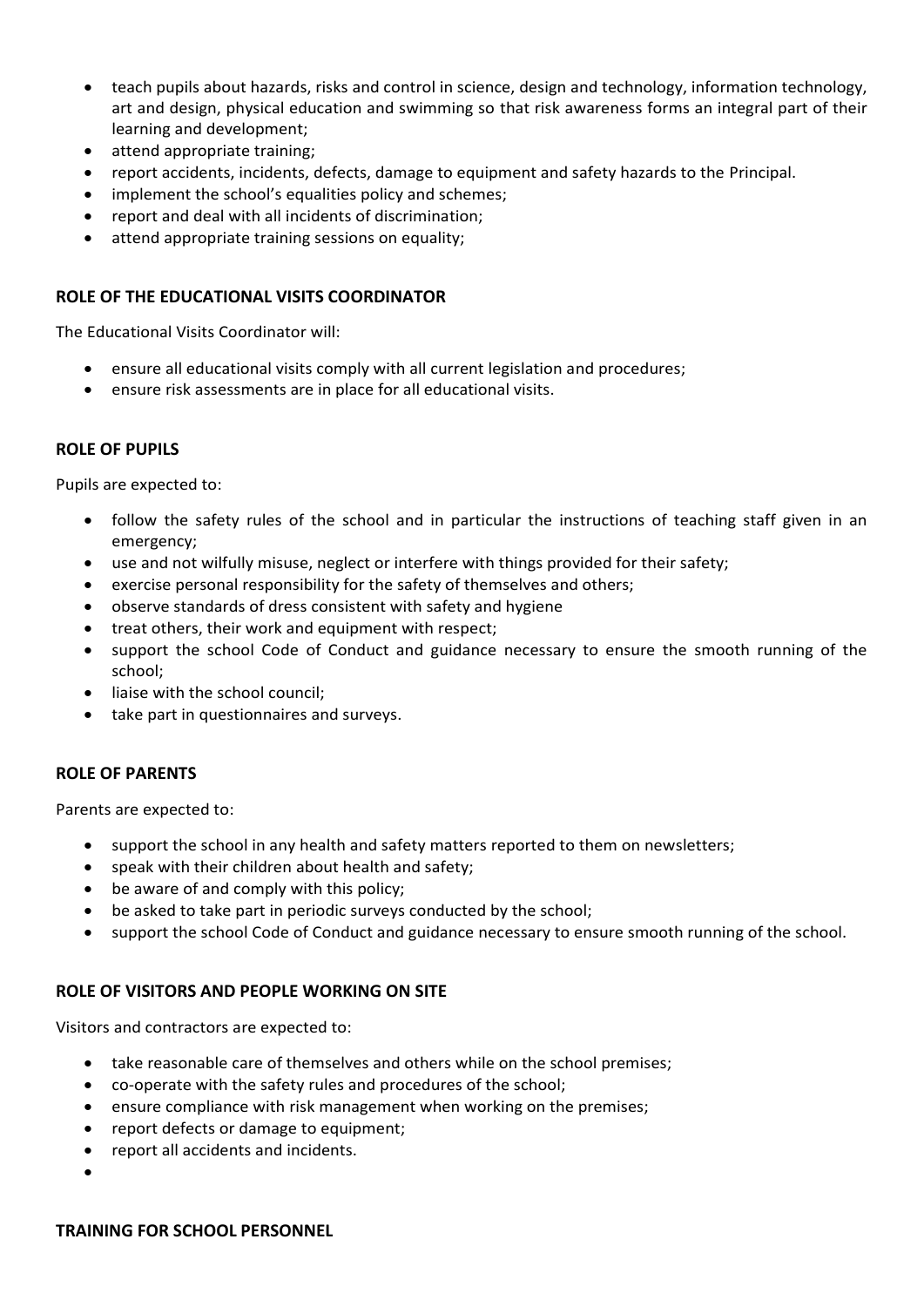- teach pupils about hazards, risks and control in science, design and technology, information technology, art and design, physical education and swimming so that risk awareness forms an integral part of their learning and development;
- attend appropriate training;
- report accidents, incidents, defects, damage to equipment and safety hazards to the Principal.
- implement the school's equalities policy and schemes;
- report and deal with all incidents of discrimination;
- attend appropriate training sessions on equality;

#### **ROLE OF THE EDUCATIONAL VISITS COORDINATOR**

The Educational Visits Coordinator will:

- ensure all educational visits comply with all current legislation and procedures;
- ensure risk assessments are in place for all educational visits.

#### **ROLE OF PUPILS**

Pupils are expected to:

- follow the safety rules of the school and in particular the instructions of teaching staff given in an emergency;
- use and not wilfully misuse, neglect or interfere with things provided for their safety;
- exercise personal responsibility for the safety of themselves and others;
- observe standards of dress consistent with safety and hygiene
- treat others, their work and equipment with respect;
- support the school Code of Conduct and guidance necessary to ensure the smooth running of the school;
- liaise with the school council;
- take part in questionnaires and surveys.

#### **ROLE OF PARENTS**

Parents are expected to:

- support the school in any health and safety matters reported to them on newsletters;
- speak with their children about health and safety;
- be aware of and comply with this policy;
- be asked to take part in periodic surveys conducted by the school;
- support the school Code of Conduct and guidance necessary to ensure smooth running of the school.

#### **ROLE OF VISITORS AND PEOPLE WORKING ON SITE**

Visitors and contractors are expected to:

- take reasonable care of themselves and others while on the school premises;
- co-operate with the safety rules and procedures of the school;
- ensure compliance with risk management when working on the premises;
- report defects or damage to equipment;
- report all accidents and incidents.
- $\bullet$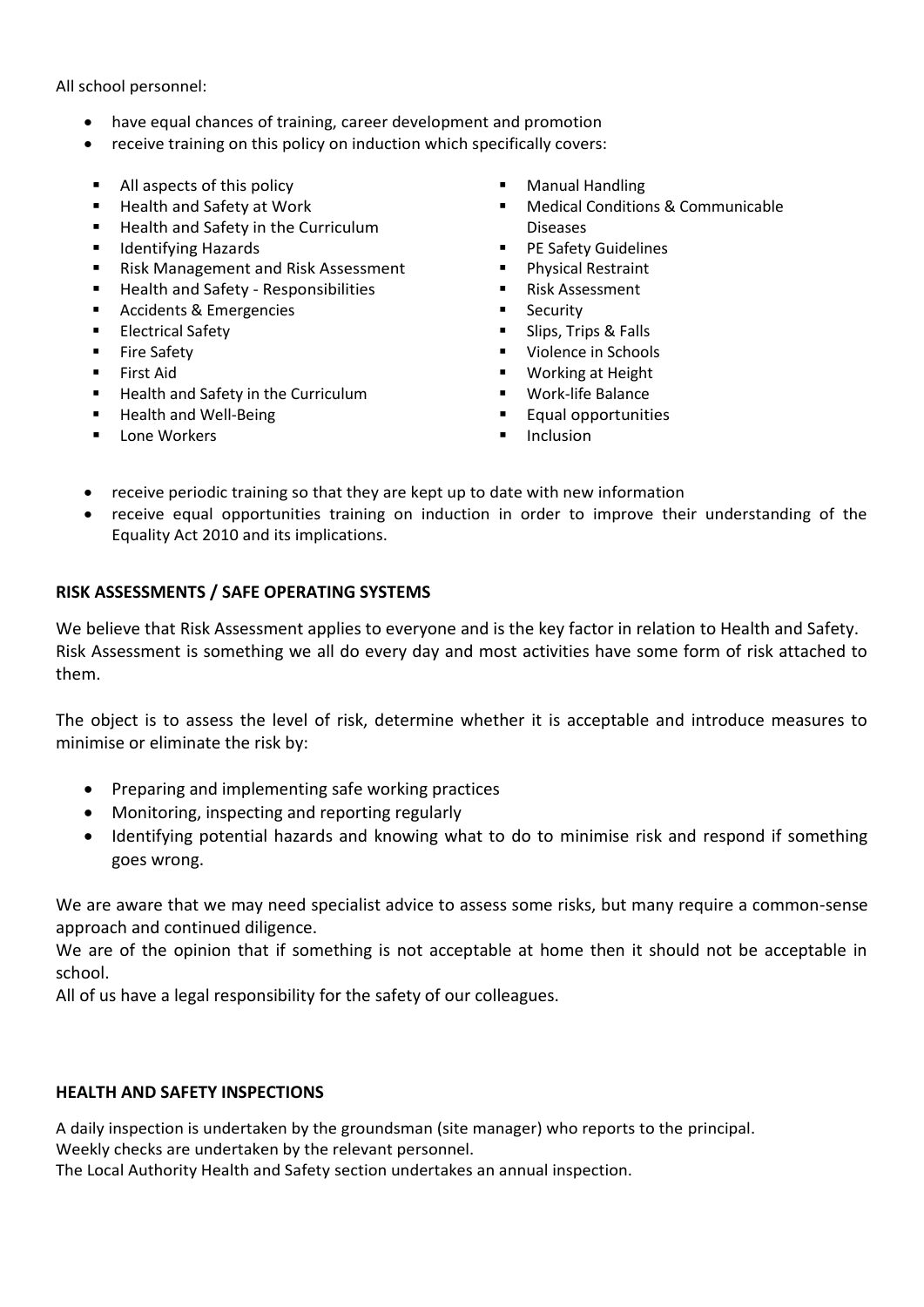All school personnel:

- have equal chances of training, career development and promotion
- receive training on this policy on induction which specifically covers:
- All aspects of this policy
- Health and Safety at Work
- Health and Safety in the Curriculum
- **IDENTIFY** Hazards
- Risk Management and Risk Assessment
- **Health and Safety Responsibilities**
- Accidents & Emergencies
- Electrical Safety
- **Fire Safety**
- **First Aid**
- Health and Safety in the Curriculum
- Health and Well-Being
- **Lone Workers**
- **Manual Handling**
- Medical Conditions & Communicable Diseases
- **PE Safety Guidelines**
- **Physical Restraint**
- Risk Assessment
- Security
- Slips, Trips & Falls
- Violence in Schools
- Working at Height
- Work-life Balance
- Equal opportunities
- Inclusion
- receive periodic training so that they are kept up to date with new information
- receive equal opportunities training on induction in order to improve their understanding of the Equality Act 2010 and its implications.

#### **RISK ASSESSMENTS / SAFE OPERATING SYSTEMS**

We believe that Risk Assessment applies to everyone and is the key factor in relation to Health and Safety. Risk Assessment is something we all do every day and most activities have some form of risk attached to them.

The object is to assess the level of risk, determine whether it is acceptable and introduce measures to minimise or eliminate the risk by:

- Preparing and implementing safe working practices
- Monitoring, inspecting and reporting regularly
- Identifying potential hazards and knowing what to do to minimise risk and respond if something goes wrong.

We are aware that we may need specialist advice to assess some risks, but many require a common-sense approach and continued diligence.

We are of the opinion that if something is not acceptable at home then it should not be acceptable in school.

All of us have a legal responsibility for the safety of our colleagues.

#### **HEALTH AND SAFETY INSPECTIONS**

A daily inspection is undertaken by the groundsman (site manager) who reports to the principal. Weekly checks are undertaken by the relevant personnel.

The Local Authority Health and Safety section undertakes an annual inspection.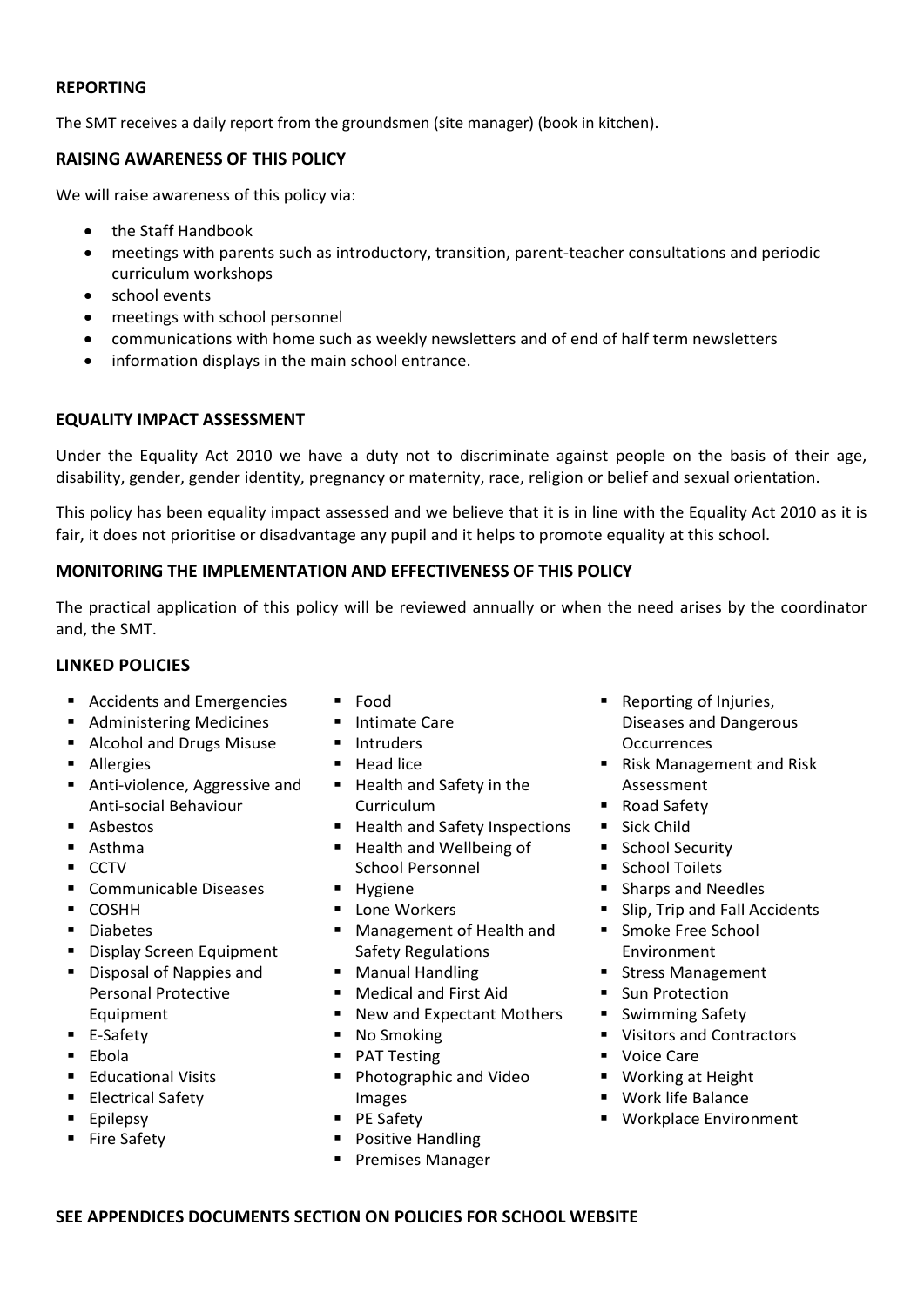## **REPORTING**

The SMT receives a daily report from the groundsmen (site manager) (book in kitchen).

## **RAISING AWARENESS OF THIS POLICY**

We will raise awareness of this policy via:

- the Staff Handbook
- meetings with parents such as introductory, transition, parent-teacher consultations and periodic curriculum workshops
- school events
- meetings with school personnel
- communications with home such as weekly newsletters and of end of half term newsletters
- information displays in the main school entrance.

#### **EQUALITY IMPACT ASSESSMENT**

Under the Equality Act 2010 we have a duty not to discriminate against people on the basis of their age, disability, gender, gender identity, pregnancy or maternity, race, religion or belief and sexual orientation.

This policy has been equality impact assessed and we believe that it is in line with the Equality Act 2010 as it is fair, it does not prioritise or disadvantage any pupil and it helps to promote equality at this school.

#### **MONITORING THE IMPLEMENTATION AND EFFECTIVENESS OF THIS POLICY**

The practical application of this policy will be reviewed annually or when the need arises by the coordinator and, the SMT.

#### **LINKED POLICIES**

- Accidents and Emergencies
- Administering Medicines
- **Alcohol and Drugs Misuse**
- **Allergies**
- Anti-violence, Aggressive and Anti-social Behaviour
- Asbestos
- Asthma
- $\blacksquare$  CCTV
- **Communicable Diseases**
- COSHH
- **-** Diabetes
- **Display Screen Equipment**
- **Disposal of Nappies and** Personal Protective Equipment
- E-Safety
- $E<sub>1</sub>$  Ebola
- **Educational Visits**
- **Electrical Safety**
- **Epilepsy**
- **Fire Safety**
- Food
- **Intimate Care**
- **Intruders**
- $H$ ead lice
- Health and Safety in the Curriculum
- Health and Safety Inspections
- Health and Wellbeing of School Personnel
- **Hygiene**
- **Lone Workers**
- Management of Health and Safety Regulations
- **Manual Handling**
- Medical and First Aid
- New and Expectant Mothers
- No Smoking
- PAT Testing
- **Photographic and Video** Images
- **PE Safety**
- Positive Handling
- **Premises Manager**
- Reporting of Injuries, Diseases and Dangerous **Occurrences**
- Risk Management and Risk Assessment
- Road Safety
- **Sick Child**
- **School Security**
- **E** School Toilets
- **Sharps and Needles**
- **Slip, Trip and Fall Accidents**
- **Smoke Free School** Environment
- **Stress Management**
- **Sun Protection**
- **Swimming Safety**
- **Visitors and Contractors**
- **Voice Care**
- **Working at Height**
- Work life Balance
- **Workplace Environment**